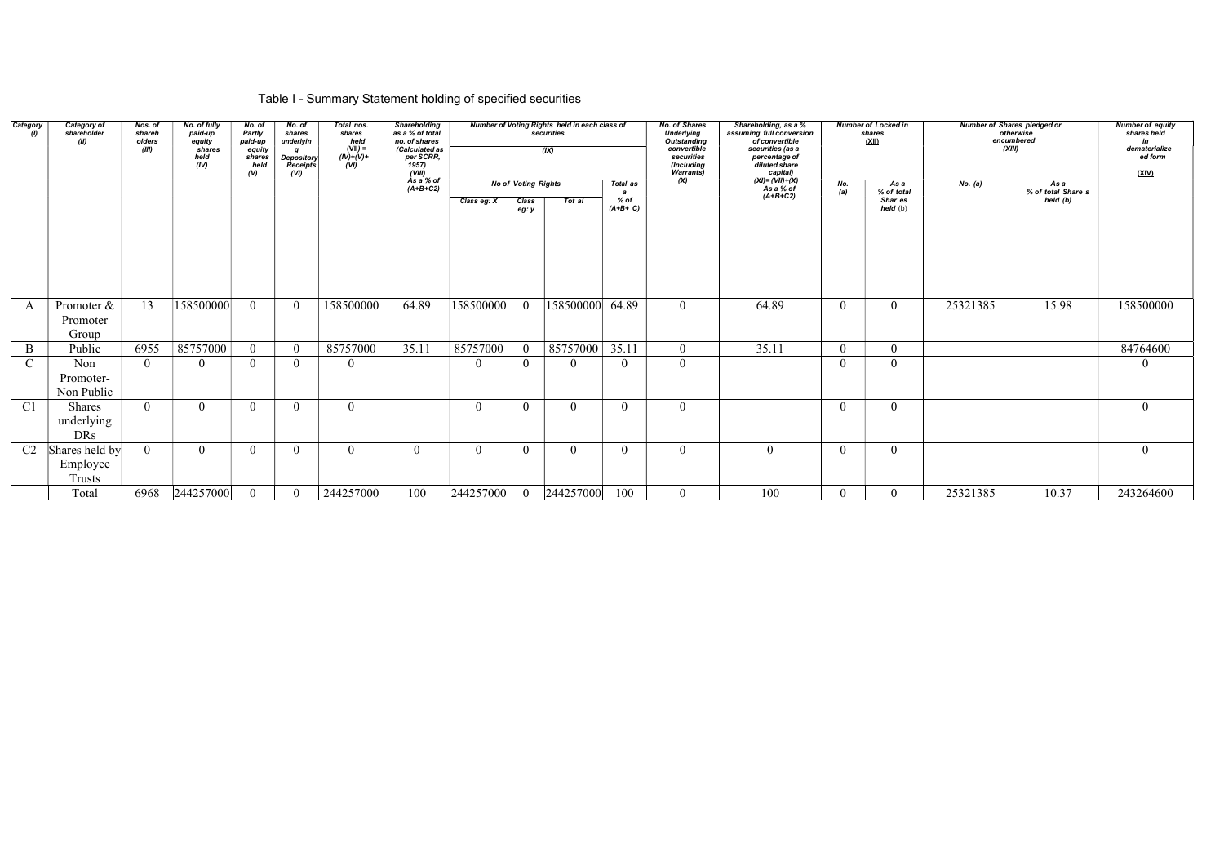# Table I - Summary Statement holding of specified securities

| Category<br>$\theta$ | Category of<br>shareholder<br>(II)   | Nos. of<br>shareh<br>olders<br>(III) | No. of fully<br>paid-up<br>equity<br>shares<br>held<br>(IV) | No. of<br>Partly<br>paid-up<br>equity<br>shares<br>held<br>( V) | No. of<br>shares<br>underlyin<br>g<br><b>Depository</b><br>Receipts<br>(VI) | Total nos.<br>shares<br>held<br>$(VII) =$<br>$(IV)+(V)+$<br>$(V)$ | Shareholding<br>as a % of total<br>no. of shares<br>(Calculated as<br>per SCRR,<br>1957)<br>(VIII) |             |                            | Number of Voting Rights held in each class of<br>securities<br>(IX) |                        | <b>No. of Shares</b><br><b>Underlying</b><br><b>Outstanding</b><br>convertible<br>securities<br>(Including<br>Warrants) | Shareholding, as a %<br>assuming full conversion<br>of convertible<br>securities (as a<br>percentage of<br>diluted share |                | <b>Number of Locked in</b><br>shares<br><u>(XII)</u> | Number of Shares pledged or<br>encumbered<br>(XIII) | otherwise                  | <b>Number of equity</b><br>shares held<br>in<br>dematerialize<br>ed form<br>(XIV) |
|----------------------|--------------------------------------|--------------------------------------|-------------------------------------------------------------|-----------------------------------------------------------------|-----------------------------------------------------------------------------|-------------------------------------------------------------------|----------------------------------------------------------------------------------------------------|-------------|----------------------------|---------------------------------------------------------------------|------------------------|-------------------------------------------------------------------------------------------------------------------------|--------------------------------------------------------------------------------------------------------------------------|----------------|------------------------------------------------------|-----------------------------------------------------|----------------------------|-----------------------------------------------------------------------------------|
|                      |                                      |                                      |                                                             |                                                                 |                                                                             |                                                                   | $\overrightarrow{As} a \% of$<br>$(A+B+C2)$                                                        |             | <b>No of Voting Rights</b> |                                                                     | Total as               | (X)                                                                                                                     | capital)<br>(XI)= (VII)+(X)<br>As a % of                                                                                 | No.<br>(a)     | As a<br>% of total                                   | No. (a)                                             | As a<br>% of total Share s |                                                                                   |
|                      |                                      |                                      |                                                             |                                                                 |                                                                             |                                                                   |                                                                                                    | Class eg: X | Class<br>eg: y             | Tot al                                                              | a<br>% of<br>$(A+B+C)$ |                                                                                                                         | $(A+B+C2)$                                                                                                               |                | Shar es<br>held(b)                                   |                                                     | held (b)                   |                                                                                   |
|                      |                                      |                                      |                                                             |                                                                 |                                                                             |                                                                   |                                                                                                    |             |                            |                                                                     |                        |                                                                                                                         |                                                                                                                          |                |                                                      |                                                     |                            |                                                                                   |
| A                    | Promoter &<br>Promoter<br>Group      | 13                                   | 158500000                                                   | $\Omega$                                                        | $\overline{0}$                                                              | 158500000                                                         | 64.89                                                                                              | 158500000   |                            | 158500000                                                           | 64.89                  | $\mathbf{0}$                                                                                                            | 64.89                                                                                                                    | $\overline{0}$ | $\Omega$                                             | 25321385                                            | 15.98                      | 158500000                                                                         |
| B                    | Public                               | 6955                                 | 85757000                                                    |                                                                 | $\theta$                                                                    | 85757000                                                          | 35.11                                                                                              | 85757000    |                            | 85757000                                                            | 35.11                  | $\mathbf{0}$                                                                                                            | 35.11                                                                                                                    | $\theta$       | $\Omega$                                             |                                                     |                            | 84764600                                                                          |
| $\mathbf C$          | Non<br>Promoter-<br>Non Public       | $\overline{0}$                       | $\theta$                                                    |                                                                 | $\theta$                                                                    | $\theta$                                                          |                                                                                                    | $\theta$    |                            |                                                                     |                        | $\mathbf{0}$                                                                                                            |                                                                                                                          | $\theta$       | $\theta$                                             |                                                     |                            | $\theta$                                                                          |
| C1                   | Shares<br>underlying<br><b>DRs</b>   | $\overline{0}$                       | $\Omega$                                                    |                                                                 | $\Omega$                                                                    | $\Omega$                                                          |                                                                                                    | $\Omega$    | $\Omega$                   | $\Omega$                                                            |                        | $\overline{0}$                                                                                                          |                                                                                                                          | $\theta$       | ∩                                                    |                                                     |                            | $\overline{0}$                                                                    |
| C2                   | Shares held by<br>Employee<br>Trusts | $\overline{0}$                       | $\Omega$                                                    |                                                                 | $\Omega$                                                                    | $\theta$                                                          |                                                                                                    | $\Omega$    | $\Omega$                   | $\Omega$                                                            |                        | $\theta$                                                                                                                | $\overline{0}$                                                                                                           | $\theta$       | $\Omega$                                             |                                                     |                            | $\theta$                                                                          |
|                      | Total                                | 6968                                 | 244257000                                                   |                                                                 |                                                                             | 244257000                                                         | 100                                                                                                | 244257000   |                            | 244257000                                                           | 100                    | $\mathbf{0}$                                                                                                            | 100                                                                                                                      | $\overline{0}$ | $\Omega$                                             | 25321385                                            | 10.37                      | 243264600                                                                         |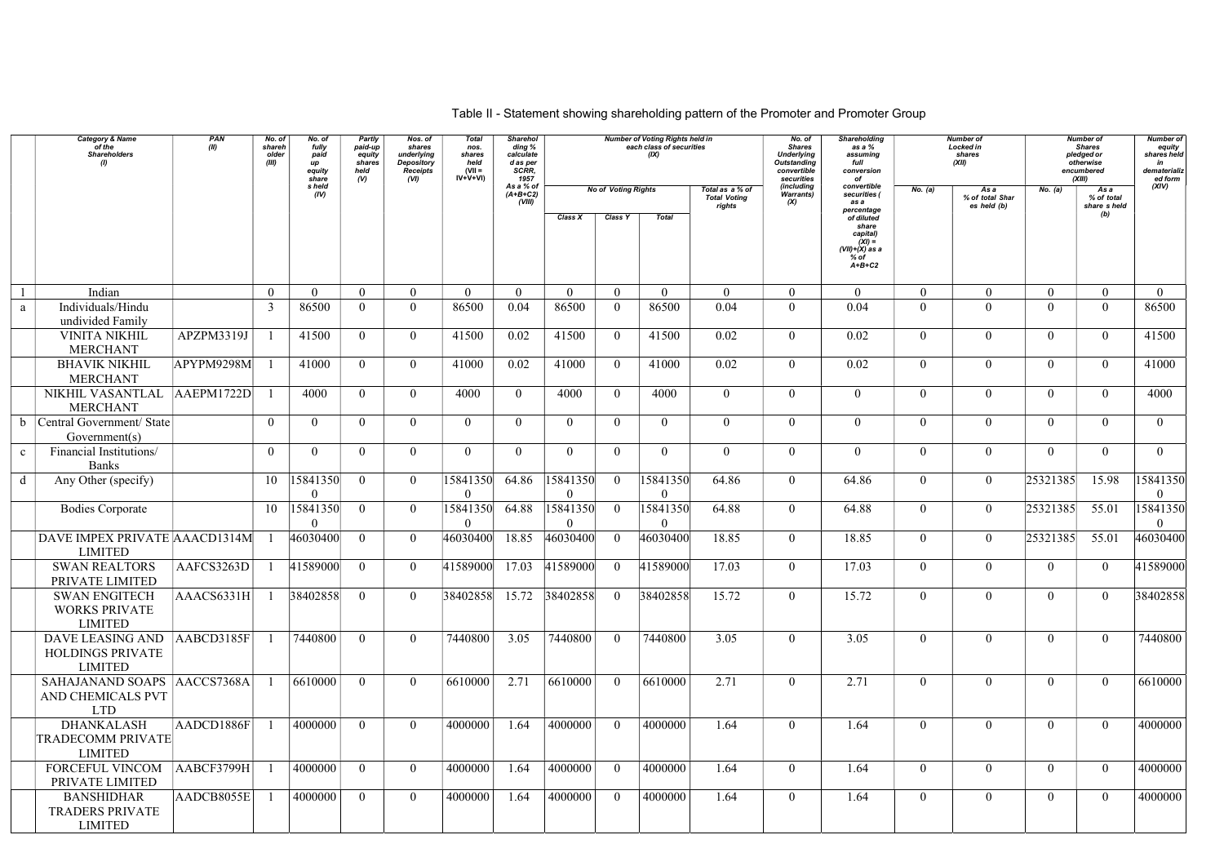#### Table II - Statement showing shareholding pattern of the Promoter and Promoter Group

#### Category & Name of the **Shareholders**  $(1)$ PAN (II) No. of shareh older (III) No. of fully paid up equity share s held  $(IV)$ **Partly** paid-up equity shares held  $(V)$ Nos. of shares underlying Depository **Receipts**  $(VI)$ **Total** nos. shares held (VII = IV+V+VI) **Sharehol** ding % calculate d as per SCRR, 1957 As a % of (A+B+C2) (VIII) Number of Voting Rights held in each class of securities  $(IX)$ No. of **Shares Underlying** Outstanding convertible securities (including Warrants)  $(X)$ **Shareholding** as a  $%$ assuming full conversion of convertible securities ( as a percentage of diluted share capital) (XI) = (VII)+(X) as a % of  $A+B+C2$ No of Voting Rights Total as a % of Total Voting rights  $N<sub>0</sub>$ . (b) Class X Class Y Total 1 Indian 0 0 0 0 0 0 0 0 0 0 0 0 0 0 0 0 0 a Individuals/Hindu undivided Family 3 86500 0 0 86500 0.04 86500 0 86500 0.04 0 0.04 0 0 0 0 86500 VINITA NIKHIL MERCHANT APZPM3319J 1 | 41500 | 0 | 41500 | 0.02 | 41500 | 0.02 | 0 | 0 0.02 | 0 | 0 0 | 0 | 0 | 41500 | 0 | 1300 | 1 BHAVIK NIKHIL MERCHANT APYPM9298M 1 | 41000 | 0 | 0 | 41000 | 0.02 | 41000 | 0.04 | 0.02 | 0 | 0.02 | 0 | 0 | 0 | 0 | 41000 | 0.02 | 0 NIKHIL VASANTLAL MERCHANT AAEPM1722D 1 4000 0 0 4000 0 4000 0 4000 0 0 0 0 0 0 0 4000 b Central Government/ State Government(s) 0 0 0 0 0 0 0 0 0 0 0 0 0 0 0 0 0  $c$  Financial Institutions/ Banks 0 0 0 0 0 0 0 0 0 0 0 0 0 0 0 0 0 d Any Other (specify) 10  $|15841350|$ 0 0 0 15841350  $\theta$ 64.86 15841350 0 0 15841350 0 Bodies Corporate 10 10 15841350  $\theta$  $0 \t 0 \t 15841350$  $\Omega$ 64.88 | 15841350 |  $\theta$  $0$  |15841350| 0 DAVE IMPEX PRIVATE AAACD1314M LIMITED AAACD1314M 1 46030400 0 0 46030400 18.85 46030400 0 46030400 18.85 0 18.85 0 0 25321385 55.01 46030400 SWAN REALTORS PRIVATE LIMITED AAFCS3263D 1 41589000 0 0 0 41589000 17.03 41589000 0 41589000 17.03 0 17.03 0 0 0 0 0 0 41589000 SWAN ENGITECH WORKS PRIVATE LIMITED AAACS6331H 1 38402858 0 0 38402858 15.72 38402858 0 38402858 15.72 0 15.72 0 0 0 0 0 38402858 DAVE LEASING AND HOLDINGS PRIVATE LIMITED AABCD3185F| 1 |7440800| 0 | 0 |7440800| 3.05 |7440800| 0 |7440800| 3.05 | 0 | 3.05 | 0 | 0 | 0 | 0 |7440800 SAHAJANAND SOAPS AND CHEMICALS PVT LTD AACCS7368A 1 6610000 0 0 0 6610000 2.71 6610000 0 6610000 2.71 0 2.71 0 3.71 0 0 0 0 6610000 DHANKALASH TRADECOMM PRIVATE LIMITED AADCD1886F| 1 |4000000| 0 | 0 |4000000| 1.64 |4000000| 0 |4000000| 1.64 | 0 | 1.64 | 0 | 0 | 0 | 0 | 0 |4000000 FORCEFUL VINCOM PRIVATE LIMITED AABCF3799H 1 |4000000 0 0 0 |4000000 1.64 |4000000 0 |4000000 1.64 | 0 | 1.64 | 0 | 0 | 0 | 0 |4000000 BANSHIDHAR TRADERS PRIVATE AADCB8055E 1 |4000000 0 0 0 |4000000 1.64 |4000000 0 |4000000 1.64 | 0 | 1.64 | 0 | 0 | 0 | 0 |4000000

| ٦ |  |  |  |
|---|--|--|--|

| No. of<br><b>Shares</b><br><b>Underlying</b><br><b>Outstanding</b><br>convertible<br>securities | <b>Shareholding</b><br>as a %<br>assuming<br>full<br>conversion<br>of                                                                      |                  | <b>Number of</b><br>shares<br>(XII)    |                  | <b>Number of</b>                         | Number of<br>equity<br>shares held<br>in<br>dematerializ<br>ed form                  |
|-------------------------------------------------------------------------------------------------|--------------------------------------------------------------------------------------------------------------------------------------------|------------------|----------------------------------------|------------------|------------------------------------------|--------------------------------------------------------------------------------------|
| (including<br>Warrants)<br>(X)                                                                  | convertible<br>securities (<br>as a<br>percentage<br>of diluted<br>share<br>capital)<br>$(XI) =$<br>$(VII)+(X)$ as a<br>$%$ of<br>$A+B+C2$ | No. (a)          | As a<br>% of total Shar<br>es held (b) | No. (a)          | As a<br>% of total<br>share sheld<br>(b) | (XIV)                                                                                |
|                                                                                                 | $\boldsymbol{0}$                                                                                                                           | $\boldsymbol{0}$ | $\boldsymbol{0}$                       | $\boldsymbol{0}$ |                                          | $\boldsymbol{0}$                                                                     |
| $\boldsymbol{0}$                                                                                | 0.04                                                                                                                                       | $\boldsymbol{0}$ | $\boldsymbol{0}$                       | $\boldsymbol{0}$ | $\boldsymbol{0}$                         | 86500                                                                                |
| $\boldsymbol{0}$                                                                                | 0.02                                                                                                                                       | $\boldsymbol{0}$ | $\boldsymbol{0}$                       | $\boldsymbol{0}$ | $\boldsymbol{0}$                         | 41500                                                                                |
| $\boldsymbol{0}$                                                                                | 0.02                                                                                                                                       | $\boldsymbol{0}$ | $\boldsymbol{0}$                       | $\overline{0}$   | $\boldsymbol{0}$                         | 41000                                                                                |
| $\boldsymbol{0}$                                                                                | $\boldsymbol{0}$                                                                                                                           | $\boldsymbol{0}$ | $\mathbf{0}$                           | $\boldsymbol{0}$ | $\boldsymbol{0}$                         | 4000                                                                                 |
| $\boldsymbol{0}$                                                                                | $\mathbf{0}$                                                                                                                               | $\boldsymbol{0}$ | $\boldsymbol{0}$                       | $\boldsymbol{0}$ | $\boldsymbol{0}$                         | $\boldsymbol{0}$                                                                     |
| $\boldsymbol{0}$                                                                                | $\boldsymbol{0}$                                                                                                                           | $\boldsymbol{0}$ | $\boldsymbol{0}$                       | $\boldsymbol{0}$ | $\boldsymbol{0}$                         | $\boldsymbol{0}$                                                                     |
| $\boldsymbol{0}$                                                                                | 64.86                                                                                                                                      | $\boldsymbol{0}$ | $\mathbf{0}$                           | 25321385         | 15.98                                    | 15841350<br>$\boldsymbol{0}$                                                         |
| $\boldsymbol{0}$                                                                                | 64.88                                                                                                                                      | $\boldsymbol{0}$ | $\boldsymbol{0}$                       | 25321385         | 55.01                                    | 15841350<br>$\boldsymbol{0}$                                                         |
| $\boldsymbol{0}$                                                                                | 18.85                                                                                                                                      | $\boldsymbol{0}$ | $\boldsymbol{0}$                       | 25321385         | 55.01                                    | 46030400                                                                             |
| $\boldsymbol{0}$                                                                                | 17.03                                                                                                                                      | $\boldsymbol{0}$ | $\boldsymbol{0}$                       | $\boldsymbol{0}$ | $\boldsymbol{0}$                         | 41589000                                                                             |
| $\boldsymbol{0}$                                                                                | 15.72                                                                                                                                      | $\boldsymbol{0}$ | $\boldsymbol{0}$                       | $\boldsymbol{0}$ | $\boldsymbol{0}$                         | 38402858                                                                             |
| $\overline{0}$                                                                                  | 3.05                                                                                                                                       | $\boldsymbol{0}$ | $\boldsymbol{0}$                       | $\mathbf{0}$     | $\boldsymbol{0}$                         | 7440800                                                                              |
| $\boldsymbol{0}$                                                                                | 2.71                                                                                                                                       | $\boldsymbol{0}$ | $\boldsymbol{0}$                       | $\boldsymbol{0}$ | $\boldsymbol{0}$                         | 6610000                                                                              |
| $\boldsymbol{0}$                                                                                | 1.64                                                                                                                                       | $\boldsymbol{0}$ | $\boldsymbol{0}$                       | $\boldsymbol{0}$ | $\boldsymbol{0}$                         | 4000000                                                                              |
| $\boldsymbol{0}$                                                                                | 1.64                                                                                                                                       | $\boldsymbol{0}$ | $\boldsymbol{0}$                       | $\boldsymbol{0}$ | $\boldsymbol{0}$                         | 4000000                                                                              |
| $\boldsymbol{0}$                                                                                | 1.64                                                                                                                                       | $\boldsymbol{0}$ | $\boldsymbol{0}$                       | $\boldsymbol{0}$ | $\boldsymbol{0}$                         | 4000000                                                                              |
|                                                                                                 | $\boldsymbol{0}$                                                                                                                           |                  |                                        | Locked in        |                                          | <b>Shares</b><br>pledged or<br>otherwise<br>encumbered<br>(XIII)<br>$\boldsymbol{0}$ |

LIMITED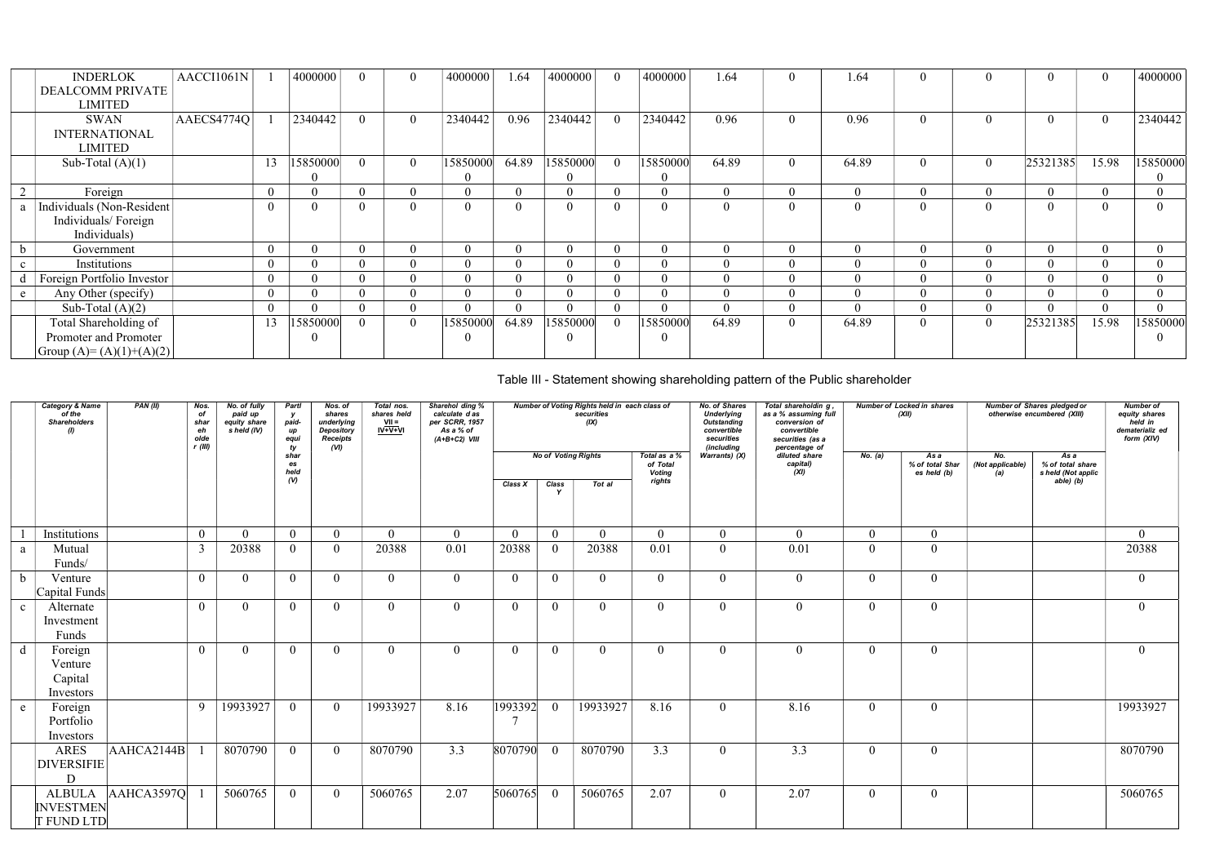|   | <b>INDERLOK</b><br><b>DEALCOMM PRIVATE</b> | AACCI1061N |                | 4000000  |          | 4000000        | 1.64           | 4000000        |                | 4000000  | 1.64           | $\Omega$       | 1.64           | $\theta$       |                | 0                |       | 4000000  |
|---|--------------------------------------------|------------|----------------|----------|----------|----------------|----------------|----------------|----------------|----------|----------------|----------------|----------------|----------------|----------------|------------------|-------|----------|
|   | LIMITED                                    |            |                |          |          |                |                |                |                |          |                |                |                |                |                |                  |       |          |
|   | SWAN                                       | AAECS4774Q |                | 2340442  |          | 2340442        | 0.96           | 2340442        | $\overline{0}$ | 2340442  | 0.96           | $\overline{0}$ | 0.96           | $\overline{0}$ | $\theta$       | $\boldsymbol{0}$ |       | 2340442  |
|   | <b>INTERNATIONAL</b>                       |            |                |          |          |                |                |                |                |          |                |                |                |                |                |                  |       |          |
|   | <b>LIMITED</b>                             |            |                |          |          |                |                |                |                |          |                |                |                |                |                |                  |       |          |
|   | Sub-Total $(A)(1)$                         |            | 13             | 15850000 |          | 15850000       | 64.89          | 15850000       | $\overline{0}$ | 15850000 | 64.89          | $\theta$       | 64.89          | $\overline{0}$ | $\overline{0}$ | 25321385         | 15.98 | 15850000 |
|   |                                            |            |                |          |          | $\Omega$       |                | $\Omega$       |                |          |                |                |                |                |                |                  |       |          |
|   | Foreign                                    |            | $\overline{0}$ |          |          | $\theta$       | $\overline{0}$ | $\theta$       |                |          | $\overline{0}$ | $\theta$       |                | $\overline{0}$ |                | $\mathbf{0}$     |       |          |
|   | Individuals (Non-Resident                  |            | $\theta$       |          |          |                | $\overline{0}$ | $\overline{0}$ | $\Omega$       | $\Omega$ | $\overline{0}$ | $\overline{0}$ |                | $\overline{0}$ | $\overline{0}$ | $\boldsymbol{0}$ |       |          |
|   | Individuals/Foreign                        |            |                |          |          |                |                |                |                |          |                |                |                |                |                |                  |       |          |
|   | Individuals)                               |            |                |          |          |                |                |                |                |          |                |                |                |                |                |                  |       |          |
|   | Government                                 |            | $\theta$       |          |          | $\Omega$       | $\theta$       | $\Omega$       | $\Omega$       |          | $\theta$       | $\Omega$       |                | $\Omega$       | $\Omega$       | $\theta$         |       |          |
|   | Institutions                               |            | $\overline{0}$ |          | - 0      | $\theta$       | $\overline{0}$ | $\theta$       | $\Omega$       |          | $\overline{0}$ | $\theta$       | $\theta$       | $\overline{0}$ | $\overline{0}$ | $\overline{0}$   |       |          |
|   | Foreign Portfolio Investor                 |            | $\overline{0}$ |          | $\theta$ | $\overline{0}$ | $\overline{0}$ | $\overline{0}$ | $\Omega$       |          | $\overline{0}$ | $\overline{0}$ | $\overline{0}$ | $\overline{0}$ | $\overline{0}$ | $\overline{0}$   |       |          |
| e | Any Other (specify)                        |            | $\overline{0}$ |          |          | $\Omega$       | $\overline{0}$ | $\theta$       |                |          | $\overline{0}$ | $\theta$       |                | $\overline{0}$ | $\theta$       | $\boldsymbol{0}$ |       |          |
|   | Sub-Total $(A)(2)$                         |            | $\theta$       |          |          |                | $\theta$       | $\Omega$       |                |          | $\Omega$       | $\theta$       |                | $\overline{0}$ | $\overline{0}$ | $\theta$         |       |          |
|   | Total Shareholding of                      |            | 13             | 15850000 |          | 15850000       | 64.89          | 15850000       |                | 15850000 | 64.89          | $\overline{0}$ | 64.89          | $\overline{0}$ | $\overline{0}$ | 25321385         | 15.98 | 15850000 |
|   | Promoter and Promoter                      |            |                |          |          |                |                | $\Omega$       |                |          |                |                |                |                |                |                  |       |          |
|   | Group $(A)=(A)(1)+(A)(2)$                  |            |                |          |          |                |                |                |                |          |                |                |                |                |                |                  |       |          |

# Table III - Statement showing shareholding pattern of the Public shareholder

| <b>Category &amp; Name</b><br>of the<br><b>Shareholders</b><br>(1) |                                                        | PAN(II)    | Nos.<br>of<br>shar<br>eh<br>olde<br>$r$ (III) | No. of fully<br>paid up<br>equity share<br>s held (IV) | Partl<br>paid-<br>иp<br>equi    | Nos. of<br>shares<br>underlying<br>Depository<br>Receipts | Total nos.<br>shares held<br>$VII =$<br><u>IV+V+VI</u> | Sharehol ding %<br>calculate d as<br>per SCRR, 1957<br>As a % of<br>$(A+B+C2)$ VIII |          |                | Number of Voting Rights held in each class of<br>securities<br>(IX) |                                                     | No. of Shares<br><b>Underlying</b><br><b>Outstanding</b><br>convertible<br>securities | Total shareholdin g<br>as a % assuming full<br>conversion of<br>convertible<br>securities (as a |                | <b>Number of Locked in shares</b><br>(XII) |                                | Number of Shares pledged or<br>otherwise encumbered (XIII) | <b>Number of</b><br>equity shares<br>held in<br>dematerializ ed<br>form (XIV) |
|--------------------------------------------------------------------|--------------------------------------------------------|------------|-----------------------------------------------|--------------------------------------------------------|---------------------------------|-----------------------------------------------------------|--------------------------------------------------------|-------------------------------------------------------------------------------------|----------|----------------|---------------------------------------------------------------------|-----------------------------------------------------|---------------------------------------------------------------------------------------|-------------------------------------------------------------------------------------------------|----------------|--------------------------------------------|--------------------------------|------------------------------------------------------------|-------------------------------------------------------------------------------|
|                                                                    |                                                        |            |                                               |                                                        | tv<br>shar<br>es<br>held<br>(V) | (VI)                                                      |                                                        |                                                                                     | Class X  | Class<br>v     | <b>No of Voting Rights</b><br>Tot al                                | Total as a %<br>of Total<br><b>Voting</b><br>rights | (including<br>Warrants) (X)                                                           | percentage of<br>diluted share<br>capital)<br>(XI)                                              | <b>No.</b> (a) | As a<br>% of total Shar<br>es held (b)     | No.<br>(Not applicable)<br>(a) | Asa<br>% of total share<br>s held (Not applic<br>able) (b) |                                                                               |
|                                                                    | Institutions                                           |            | $\overline{0}$                                | $\Omega$                                               | $\theta$                        | $\Omega$                                                  | $\theta$                                               | 0                                                                                   | $\Omega$ | $\overline{0}$ | $\theta$                                                            | $\Omega$                                            | $\theta$                                                                              | $\theta$                                                                                        | $\Omega$       |                                            |                                |                                                            | $\Omega$                                                                      |
| a                                                                  | Mutual<br>Funds/                                       |            | $\overline{3}$                                | 20388                                                  | $\theta$                        | $\Omega$                                                  | 20388                                                  | 0.01                                                                                | 20388    | $\overline{0}$ | 20388                                                               | 0.01                                                | $\overline{0}$                                                                        | 0.01                                                                                            | $\overline{0}$ | $\overline{0}$<br>$\theta$                 |                                |                                                            | 20388                                                                         |
| $\mathbf b$                                                        | Venture<br>Capital Funds                               |            | $\overline{0}$                                | $\overline{0}$                                         | $\overline{0}$                  | $\Omega$                                                  | $\mathbf{0}$                                           | $\mathbf{0}$                                                                        | $\Omega$ | $\overline{0}$ | $\theta$                                                            | $\overline{0}$                                      | $\overline{0}$                                                                        | $\theta$                                                                                        | $\overline{0}$ | $\overline{0}$                             |                                |                                                            | $\overline{0}$                                                                |
| $\mathbf{c}$                                                       | Alternate<br>Investment<br>Funds                       |            | $\theta$                                      | $\theta$                                               | $\Omega$                        | $\Omega$                                                  | $\theta$                                               | 0                                                                                   | $\Omega$ | $\Omega$       | $\Omega$                                                            | $\Omega$                                            | $\theta$                                                                              | $\Omega$                                                                                        | $\theta$       | $\overline{0}$                             |                                |                                                            | $\theta$                                                                      |
| $\mathbf d$                                                        | Foreign<br>Venture<br>Capital<br>Investors             |            | $\overline{0}$                                | $\theta$                                               | $\Omega$                        | $\Omega$                                                  | $\theta$                                               | $\Omega$                                                                            | $\Omega$ | $\overline{0}$ | $\Omega$                                                            | $\theta$                                            | $\Omega$                                                                              | $\theta$                                                                                        | $\overline{0}$ | $\overline{0}$                             |                                |                                                            | $\overline{0}$                                                                |
| $\mathbf{e}$                                                       | Foreign<br>Portfolio<br>Investors                      |            | 9                                             | 19933927                                               | $\theta$                        | $\Omega$                                                  | 19933927                                               | 8.16                                                                                | 1993392  | $\Omega$       | 19933927                                                            | 8.16                                                | $\overline{0}$                                                                        | 8.16                                                                                            | $\theta$       | $\overline{0}$                             |                                |                                                            | 19933927                                                                      |
|                                                                    | ARES<br><b>DIVERSIFIE</b><br>D                         | AAHCA2144B |                                               | 8070790                                                | $\theta$                        | $\Omega$                                                  | 8070790                                                | 3.3                                                                                 | 8070790  | $\overline{0}$ | 8070790                                                             | 3.3                                                 | $\theta$                                                                              | 3.3                                                                                             | $\mathbf{0}$   | $\overline{0}$                             |                                |                                                            | 8070790                                                                       |
|                                                                    | <b>ALBULA</b><br><b>INVESTMEN</b><br><b>T FUND LTD</b> | AAHCA3597Q |                                               | 5060765                                                | $\overline{0}$                  | $\Omega$                                                  | 5060765                                                | 2.07                                                                                | 5060765  | $\theta$       | 5060765                                                             | 2.07                                                | $\overline{0}$                                                                        | 2.07                                                                                            | $\overline{0}$ | $\theta$                                   |                                |                                                            | 5060765                                                                       |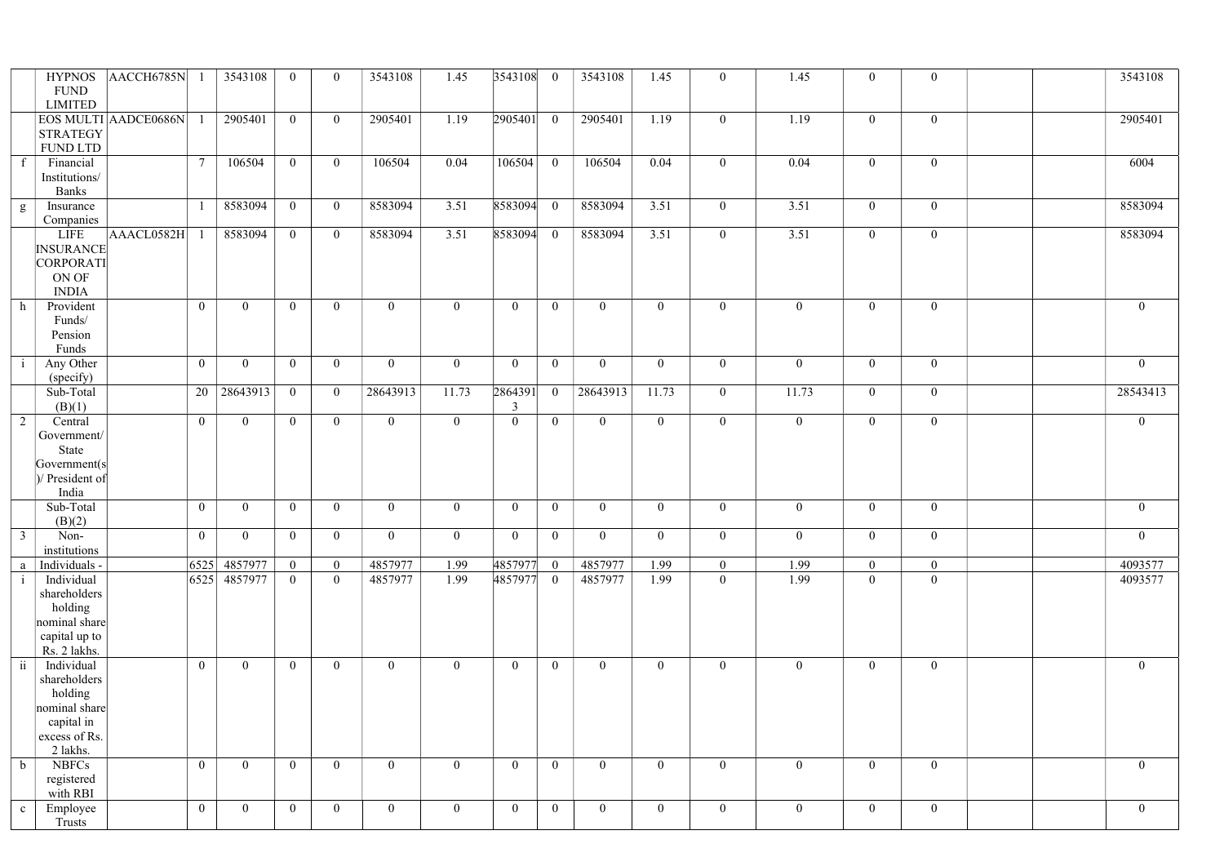| <b>HYPNOS</b><br><b>FUND</b><br><b>LIMITED</b>                                                                                | $ $ AACCH6785N $ $   |                 | 3543108        | $\overline{0}$ | $\overline{0}$ | 3543108          | 1.45             | 3543108          | $\bf{0}$         | 3543108          | 1.45             | $\overline{0}$   | 1.45             | $\overline{0}$   | $\mathbf{0}$   | 3543108        |
|-------------------------------------------------------------------------------------------------------------------------------|----------------------|-----------------|----------------|----------------|----------------|------------------|------------------|------------------|------------------|------------------|------------------|------------------|------------------|------------------|----------------|----------------|
| <b>STRATEGY</b><br><b>FUND LTD</b>                                                                                            | EOS MULTI AADCE0686N |                 | 2905401        | $\overline{0}$ | $\overline{0}$ | 2905401          | 1.19             | 2905401          | $\overline{0}$   | 2905401          | 1.19             | $\overline{0}$   | 1.19             | $\overline{0}$   | $\overline{0}$ | 2905401        |
| Financial<br>Institutions/<br><b>Banks</b>                                                                                    |                      | $7\phantom{.0}$ | 106504         | $\overline{0}$ | $\overline{0}$ | 106504           | 0.04             | 106504           | $\overline{0}$   | 106504           | 0.04             | $\overline{0}$   | 0.04             | $\overline{0}$   | $\overline{0}$ | 6004           |
| Insurance<br>g<br>Companies                                                                                                   |                      |                 | 8583094        | $\overline{0}$ | $\mathbf{0}$   | 8583094          | 3.51             | 8583094          | $\bf{0}$         | 8583094          | 3.51             | $\overline{0}$   | 3.51             | $\overline{0}$   | $\overline{0}$ | 8583094        |
| LIFE<br><b>INSURANCE</b><br>CORPORATI<br>ON OF<br><b>INDIA</b>                                                                | $AACL0582H$ 1        |                 | 8583094        | $\overline{0}$ | $\overline{0}$ | 8583094          | 3.51             | 8583094          | $\overline{0}$   | 8583094          | 3.51             | $\overline{0}$   | 3.51             | $\overline{0}$   | $\overline{0}$ | 8583094        |
| Provident<br>$\mathbf{h}$<br>Funds/<br>Pension<br>Funds                                                                       |                      | $\overline{0}$  | $\overline{0}$ | $\overline{0}$ | $\theta$       | $\overline{0}$   | $\overline{0}$   | $\overline{0}$   | $\bf{0}$         | $\overline{0}$   | $\overline{0}$   | $\overline{0}$   | $\overline{0}$   | $\overline{0}$   | $\overline{0}$ | $\overline{0}$ |
| Any Other<br>(specify)                                                                                                        |                      | $\overline{0}$  | $\overline{0}$ | $\overline{0}$ | $\overline{0}$ | $\overline{0}$   | $\overline{0}$   | $\overline{0}$   | $\overline{0}$   | $\overline{0}$   | $\mathbf{0}$     | $\mathbf{0}$     | $\overline{0}$   | $\overline{0}$   | $\overline{0}$ | $\overline{0}$ |
| Sub-Total<br>(B)(1)                                                                                                           |                      | 20              | 28643913       | $\overline{0}$ | $\theta$       | 28643913         | 11.73            | 2864391<br>3     | $\theta$         | 28643913         | 11.73            | $\overline{0}$   | 11.73            | $\overline{0}$   | $\overline{0}$ | 28543413       |
| $\overline{2}$<br>Central<br>Government/<br>State                                                                             |                      | $\overline{0}$  | $\overline{0}$ | $\overline{0}$ | $\overline{0}$ | $\overline{0}$   | $\overline{0}$   | $\overline{0}$   | $\bf{0}$         | $\overline{0}$   | $\overline{0}$   | $\overline{0}$   | $\overline{0}$   | $\overline{0}$   | $\overline{0}$ | $\overline{0}$ |
| Government(s)<br>$)/$ President of<br>India                                                                                   |                      |                 |                |                |                |                  |                  |                  |                  |                  |                  |                  |                  |                  |                |                |
| Sub-Total<br>(B)(2)                                                                                                           |                      | $\overline{0}$  | $\overline{0}$ | $\overline{0}$ | $\overline{0}$ | $\overline{0}$   | $\overline{0}$   | $\overline{0}$   | $\overline{0}$   | $\overline{0}$   | $\mathbf{0}$     | $\overline{0}$   | $\overline{0}$   | $\overline{0}$   | $\overline{0}$ | $\overline{0}$ |
| Non-<br>3<br>institutions                                                                                                     |                      | $\overline{0}$  | $\overline{0}$ | $\mathbf{0}$   | $\theta$       | $\boldsymbol{0}$ | $\boldsymbol{0}$ | $\boldsymbol{0}$ | $\boldsymbol{0}$ | $\boldsymbol{0}$ | $\boldsymbol{0}$ | $\boldsymbol{0}$ | $\boldsymbol{0}$ | $\boldsymbol{0}$ | $\mathbf{0}$   | $\overline{0}$ |
| Individuals -<br>a                                                                                                            |                      | 6525            | 4857977        | $\overline{0}$ | $\overline{0}$ | 4857977          | 1.99             | 4857977          | $\overline{0}$   | 4857977          | 1.99             | $\overline{0}$   | 1.99             | $\overline{0}$   | $\overline{0}$ | 4093577        |
| Individual<br>shareholders<br>holding<br>nominal share<br>capital up to<br>Rs. 2 lakhs.                                       |                      | 6525            | 4857977        | $\overline{0}$ | $\overline{0}$ | 4857977          | 1.99             | 4857977          | $\overline{0}$   | 4857977          | 1.99             | $\boldsymbol{0}$ | 1.99             | $\overline{0}$   | $\mathbf{0}$   | 4093577        |
| Individual<br>$\overline{\mathbf{11}}$<br>shareholders<br>holding<br>nominal share<br>capital in<br>excess of Rs.<br>2 lakhs. |                      | $\overline{0}$  | $\overline{0}$ | $\overline{0}$ | $\overline{0}$ | $\mathbf{0}$     | $\overline{0}$   | $\overline{0}$   | $\overline{0}$   | $\overline{0}$   | $\mathbf{0}$     | $\boldsymbol{0}$ | $\boldsymbol{0}$ | $\overline{0}$   | $\overline{0}$ | $\overline{0}$ |
| <b>NBFCs</b><br>$\mathbf b$<br>registered<br>with RBI                                                                         |                      | $\overline{0}$  | $\overline{0}$ | $\overline{0}$ | $\mathbf{0}$   | $\overline{0}$   | $\boldsymbol{0}$ | $\overline{0}$   | $\bf{0}$         | $\overline{0}$   | $\overline{0}$   | $\overline{0}$   | $\overline{0}$   | $\overline{0}$   | $\overline{0}$ | $\overline{0}$ |
| Employee<br>$\mathbf{c}$<br>Trusts                                                                                            |                      | $\overline{0}$  | $\overline{0}$ | $\overline{0}$ | $\overline{0}$ | $\overline{0}$   | $\boldsymbol{0}$ | $\overline{0}$   | $\overline{0}$   | $\overline{0}$   | $\boldsymbol{0}$ | $\boldsymbol{0}$ | $\boldsymbol{0}$ | $\overline{0}$   | $\overline{0}$ | $\overline{0}$ |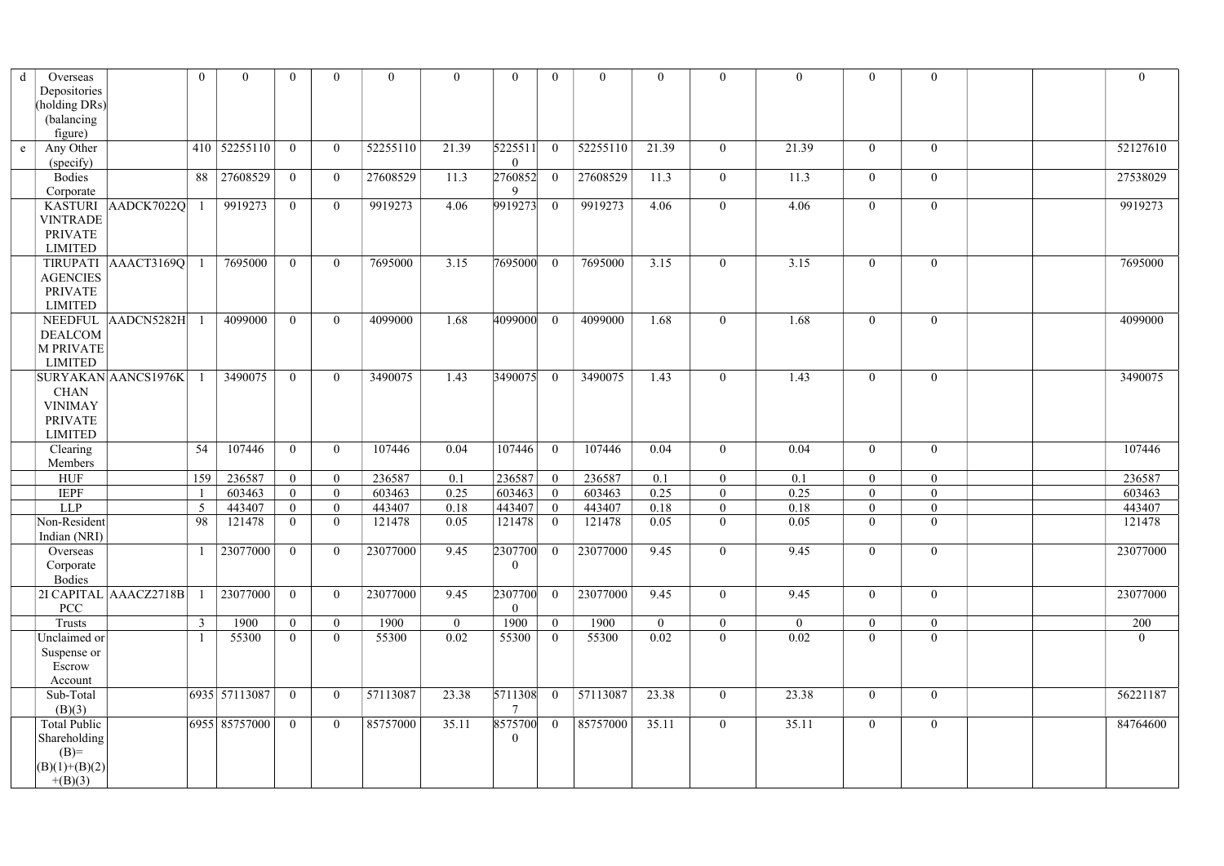| d<br>Overseas                       |                             | $\overline{0}$  | $\theta$      | $\overline{0}$ | 0              | $\overline{0}$ | $\mathbf{0}$   | $\mathbf{0}$              | $\overline{0}$ | $\overline{0}$ | $\overline{0}$ | $\mathbf{0}$     | $\overline{0}$ | $\overline{0}$ | $\mathbf{0}$   | $\overline{0}$ |
|-------------------------------------|-----------------------------|-----------------|---------------|----------------|----------------|----------------|----------------|---------------------------|----------------|----------------|----------------|------------------|----------------|----------------|----------------|----------------|
| Depositories                        |                             |                 |               |                |                |                |                |                           |                |                |                |                  |                |                |                |                |
| (holding DRs)                       |                             |                 |               |                |                |                |                |                           |                |                |                |                  |                |                |                |                |
| (balancing                          |                             |                 |               |                |                |                |                |                           |                |                |                |                  |                |                |                |                |
| figure)                             |                             |                 | 410 52255110  | $\overline{0}$ | $\overline{0}$ |                |                |                           |                |                | 21.39          | $\overline{0}$   |                | $\overline{0}$ | $\overline{0}$ | 52127610       |
| Any Other<br>${\bf e}$<br>(specify) |                             |                 |               |                |                | 52255110       | 21.39          | 5225511<br>$\overline{0}$ | $\overline{0}$ | 52255110       |                |                  | 21.39          |                |                |                |
| <b>Bodies</b>                       |                             | 88              | 27608529      | $\overline{0}$ | $\overline{0}$ | 27608529       | 11.3           | 2760852                   |                | 27608529       | 11.3           | $\mathbf{0}$     | 11.3           | $\overline{0}$ | $\overline{0}$ | 27538029       |
| Corporate                           |                             |                 |               |                |                |                |                | $\mathbf Q$               |                |                |                |                  |                |                |                |                |
| <b>KASTURI</b>                      | AADCK7022Q                  |                 | 9919273       | $\overline{0}$ | $\overline{0}$ | 9919273        | 4.06           | 9919273                   | $\overline{0}$ | 9919273        | 4.06           | $\overline{0}$   | 4.06           | $\overline{0}$ | $\overline{0}$ | 9919273        |
| <b>VINTRADE</b>                     |                             |                 |               |                |                |                |                |                           |                |                |                |                  |                |                |                |                |
| <b>PRIVATE</b>                      |                             |                 |               |                |                |                |                |                           |                |                |                |                  |                |                |                |                |
| <b>LIMITED</b>                      |                             |                 |               |                |                |                |                |                           |                |                |                |                  |                |                |                |                |
|                                     | TIRUPATI AAACT3169Q         |                 | 7695000       | $\overline{0}$ | $\overline{0}$ | 7695000        | 3.15           | 7695000                   | $\theta$       | 7695000        | 3.15           | $\overline{0}$   | 3.15           | $\overline{0}$ | $\overline{0}$ | 7695000        |
| <b>AGENCIES</b>                     |                             |                 |               |                |                |                |                |                           |                |                |                |                  |                |                |                |                |
| <b>PRIVATE</b>                      |                             |                 |               |                |                |                |                |                           |                |                |                |                  |                |                |                |                |
| <b>LIMITED</b>                      |                             |                 |               |                |                |                |                |                           |                |                |                |                  |                |                |                |                |
|                                     | NEEDFUL AADCN5282H          |                 | 4099000       | $\overline{0}$ | $\overline{0}$ | 4099000        | 1.68           | 4099000                   | $\overline{0}$ | 4099000        | 1.68           | $\overline{0}$   | 1.68           | $\overline{0}$ | $\overline{0}$ | 4099000        |
| <b>DEALCOM</b>                      |                             |                 |               |                |                |                |                |                           |                |                |                |                  |                |                |                |                |
| <b>M PRIVATE</b><br><b>LIMITED</b>  |                             |                 |               |                |                |                |                |                           |                |                |                |                  |                |                |                |                |
|                                     | SURYAKAN AANCS1976K         |                 | 3490075       | $\overline{0}$ | $\overline{0}$ | 3490075        | 1.43           | 3490075                   | $\theta$       | 3490075        | 1.43           | $\overline{0}$   | 1.43           | $\overline{0}$ | $\overline{0}$ | 3490075        |
| <b>CHAN</b>                         |                             |                 |               |                |                |                |                |                           |                |                |                |                  |                |                |                |                |
| <b>VINIMAY</b>                      |                             |                 |               |                |                |                |                |                           |                |                |                |                  |                |                |                |                |
| <b>PRIVATE</b>                      |                             |                 |               |                |                |                |                |                           |                |                |                |                  |                |                |                |                |
| <b>LIMITED</b>                      |                             |                 |               |                |                |                |                |                           |                |                |                |                  |                |                |                |                |
| Clearing                            |                             | 54              | 107446        | $\overline{0}$ | $\overline{0}$ | 107446         | 0.04           | 107446                    | $\overline{0}$ | 107446         | 0.04           | $\mathbf{0}$     | 0.04           | $\overline{0}$ | $\overline{0}$ | 107446         |
| Members                             |                             |                 |               |                |                |                |                |                           |                |                |                |                  |                |                |                |                |
| <b>HUF</b>                          |                             | 159             | 236587        | $\overline{0}$ | $\overline{0}$ | 236587         | 0.1            | 236587                    | $\bf{0}$       | 236587         | 0.1            | $\mathbf{0}$     | 0.1            | $\overline{0}$ | $\overline{0}$ | 236587         |
| <b>IEPF</b>                         |                             |                 | 603463        | $\overline{0}$ |                | 603463         | 0.25           | 603463                    |                | 603463         | 0.25           | $\theta$         | 0.25           | $\overline{0}$ | $\mathbf{0}$   | 603463         |
| <b>LLP</b>                          |                             | $5\overline{)}$ | 443407        | $\overline{0}$ | ∩              | 443407         | 0.18           | 443407                    |                | 443407         | 0.18           | $\theta$         | 0.18           | $\theta$       | $\overline{0}$ | 443407         |
| Non-Resident                        |                             | 98              | 121478        | $\overline{0}$ | 0              | 121478         | 0.05           | 121478                    |                | 121478         | 0.05           | $\theta$         | 0.05           | $\overline{0}$ | $\overline{0}$ | 121478         |
| Indian (NRI)                        |                             |                 |               |                |                |                |                |                           |                |                |                |                  |                |                |                |                |
| Overseas                            |                             | $\mathbf{1}$    | 23077000      | $\overline{0}$ | $\overline{0}$ | 23077000       | 9.45           | 2307700                   | $\overline{0}$ | 23077000       | 9.45           | $\overline{0}$   | 9.45           | $\overline{0}$ | $\overline{0}$ | 23077000       |
| Corporate                           |                             |                 |               |                |                |                |                | $\overline{0}$            |                |                |                |                  |                |                |                |                |
| Bodies                              | $2I$ CAPITAL $ AAACZ2718B $ |                 | 23077000      | $\overline{0}$ | $\overline{0}$ | 23077000       | 9.45           | 2307700                   | $\theta$       | 23077000       | 9.45           | $\boldsymbol{0}$ | 9.45           | $\overline{0}$ | $\overline{0}$ | 23077000       |
| PCC                                 |                             |                 |               |                |                |                |                | $\mathbf{0}$              |                |                |                |                  |                |                |                |                |
| <b>Trusts</b>                       |                             | $\overline{3}$  | 1900          | $\overline{0}$ | $\overline{0}$ | 1900           | $\overline{0}$ | 1900                      | $\overline{0}$ | 1900           | $\overline{0}$ | $\overline{0}$   | $\overline{0}$ | $\overline{0}$ | $\overline{0}$ | 200            |
| Unclaimed or                        |                             | $\mathbf{1}$    | 55300         | $\overline{0}$ | $\overline{0}$ | 55300          | 0.02           | 55300                     | $\overline{0}$ | 55300          | 0.02           | $\boldsymbol{0}$ | 0.02           | $\overline{0}$ | $\overline{0}$ | $\overline{0}$ |
| Suspense or                         |                             |                 |               |                |                |                |                |                           |                |                |                |                  |                |                |                |                |
| Escrow                              |                             |                 |               |                |                |                |                |                           |                |                |                |                  |                |                |                |                |
| Account                             |                             |                 |               |                |                |                |                |                           |                |                |                |                  |                |                |                |                |
| Sub-Total                           |                             |                 | 6935 57113087 | $\overline{0}$ | $\overline{0}$ | 57113087       | 23.38          | $\overline{5711308}$      |                | 57113087       | 23.38          | $\mathbf{0}$     | 23.38          | $\overline{0}$ | $\overline{0}$ | 56221187       |
| (B)(3)                              |                             |                 |               |                |                |                |                |                           |                |                |                |                  |                |                |                |                |
| <b>Total Public</b>                 |                             |                 | 6955 85757000 | $\overline{0}$ | $\overline{0}$ | 85757000       | 35.11          | 8575700                   | $\overline{0}$ | 85757000       | 35.11          | $\overline{0}$   | 35.11          | $\overline{0}$ | $\overline{0}$ | 84764600       |
| Shareholding                        |                             |                 |               |                |                |                |                | $\overline{0}$            |                |                |                |                  |                |                |                |                |
| $(B)=$                              |                             |                 |               |                |                |                |                |                           |                |                |                |                  |                |                |                |                |
| $(B)(1)+(B)(2)$                     |                             |                 |               |                |                |                |                |                           |                |                |                |                  |                |                |                |                |
| $+(B)(3)$                           |                             |                 |               |                |                |                |                |                           |                |                |                |                  |                |                |                |                |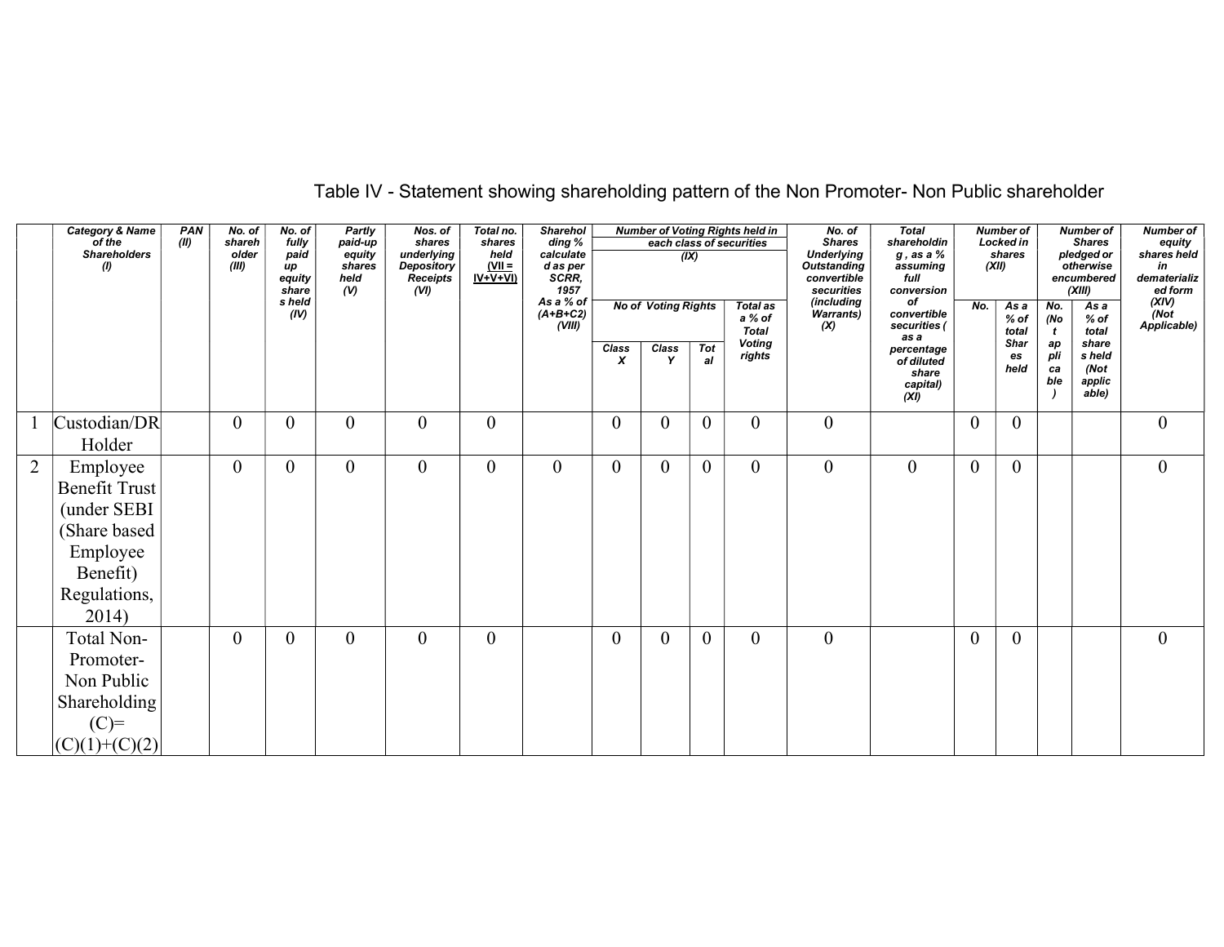| <b>Category &amp; Name</b><br>of the<br>(II)<br><b>Shareholders</b><br>$\omega$ |                                                                                                                   | PAN | No. of<br>shareh<br>older<br>(III) | No. of<br>fully<br>paid<br>иp<br>equity<br>share | <b>Partly</b><br>paid-up<br>equity<br>shares<br>held<br>$\mathcal{U}$ | Nos. of<br>shares<br>underlying<br><b>Depository</b><br>Receipts<br>(VI) | Total no.<br>shares<br>held<br>$\frac{\text{(VII =}\n}{\text{IV+V+VI}}$ | <b>Sharehol</b><br>ding %<br>calculate<br>d as per<br>SCRR,<br>1957 |                |                            | (X)              | <b>Number of Voting Rights held in</b><br>each class of securities | No. of<br><b>Shares</b><br><b>Underlying</b><br><b>Outstanding</b><br>convertible<br>securities | <b>Total</b><br>shareholdin<br>$g$ , as a $%$<br>assuming<br>full<br>conversion |              | <b>Number of</b><br>Locked in<br>shares<br>(XII) |                        | <b>Number of</b><br><b>Shares</b><br>pledged or<br>otherwise<br>encumbered<br>(XIII) | <b>Number of</b><br>equity<br>shares held<br>in<br>dematerializ<br>ed form |  |
|---------------------------------------------------------------------------------|-------------------------------------------------------------------------------------------------------------------|-----|------------------------------------|--------------------------------------------------|-----------------------------------------------------------------------|--------------------------------------------------------------------------|-------------------------------------------------------------------------|---------------------------------------------------------------------|----------------|----------------------------|------------------|--------------------------------------------------------------------|-------------------------------------------------------------------------------------------------|---------------------------------------------------------------------------------|--------------|--------------------------------------------------|------------------------|--------------------------------------------------------------------------------------|----------------------------------------------------------------------------|--|
|                                                                                 |                                                                                                                   |     |                                    | s held<br>(IV)                                   |                                                                       |                                                                          |                                                                         | As a % of<br>(A+B+C2)<br>(VIII)                                     |                | <b>No of Voting Rights</b> |                  | <b>Total as</b><br>a % of<br><b>Total</b>                          | (including<br><b>Warrants)</b><br>(X)                                                           | of<br>convertible<br>securities (<br>as a                                       | No.          | As a<br>$%$ of<br>total                          | No.<br>(No             | As a<br>% of<br>total                                                                | (XIV)<br>(Not<br>Applicable)                                               |  |
|                                                                                 |                                                                                                                   |     |                                    |                                                  |                                                                       |                                                                          |                                                                         |                                                                     | Class<br>X     | Class                      | <b>Tot</b><br>al | <b>Voting</b><br>rights                                            |                                                                                                 | percentage<br>of diluted<br>share<br>capital)<br>(XI)                           |              | Shar<br>es<br>held                               | аp<br>pli<br>ca<br>ble | share<br>s held<br>(Not<br>applic<br>able)                                           |                                                                            |  |
|                                                                                 | Custodian/DR<br>Holder                                                                                            |     | $\boldsymbol{0}$                   | $\overline{0}$                                   | $\mathbf{0}$                                                          | $\overline{0}$                                                           | $\overline{0}$                                                          |                                                                     | $\overline{0}$ | $\theta$                   | $\mathbf{0}$     | $\boldsymbol{0}$                                                   | $\boldsymbol{0}$                                                                                |                                                                                 | $\mathbf{0}$ | $\overline{0}$                                   |                        |                                                                                      | $\boldsymbol{0}$                                                           |  |
| 2                                                                               | Employee<br><b>Benefit Trust</b><br>(under SEBI<br>(Share based)<br>Employee<br>Benefit)<br>Regulations,<br>2014) |     | $\boldsymbol{0}$                   | $\overline{0}$                                   | $\mathbf{0}$                                                          | $\overline{0}$                                                           | $\overline{0}$                                                          | $\overline{0}$                                                      | $\overline{0}$ | $\overline{0}$             | $\overline{0}$   | $\boldsymbol{0}$                                                   | $\boldsymbol{0}$                                                                                | $\mathbf{0}$                                                                    | $\mathbf{0}$ | $\mathbf{0}$                                     |                        |                                                                                      | $\mathbf{0}$                                                               |  |
|                                                                                 | Total Non-<br>Promoter-<br>Non Public<br>Shareholding<br>$(C)=$<br>$ C(1)+(C)(2) $                                |     | $\overline{0}$                     | 0                                                | $\overline{0}$                                                        | $\overline{0}$                                                           | $\Omega$                                                                |                                                                     | $\theta$       | $\theta$                   | $\overline{0}$   | $\overline{0}$                                                     | $\theta$                                                                                        |                                                                                 | $\mathbf{0}$ | $\theta$                                         |                        |                                                                                      | $\theta$                                                                   |  |

### Table IV - Statement showing shareholding pattern of the Non Promoter- Non Public shareholder